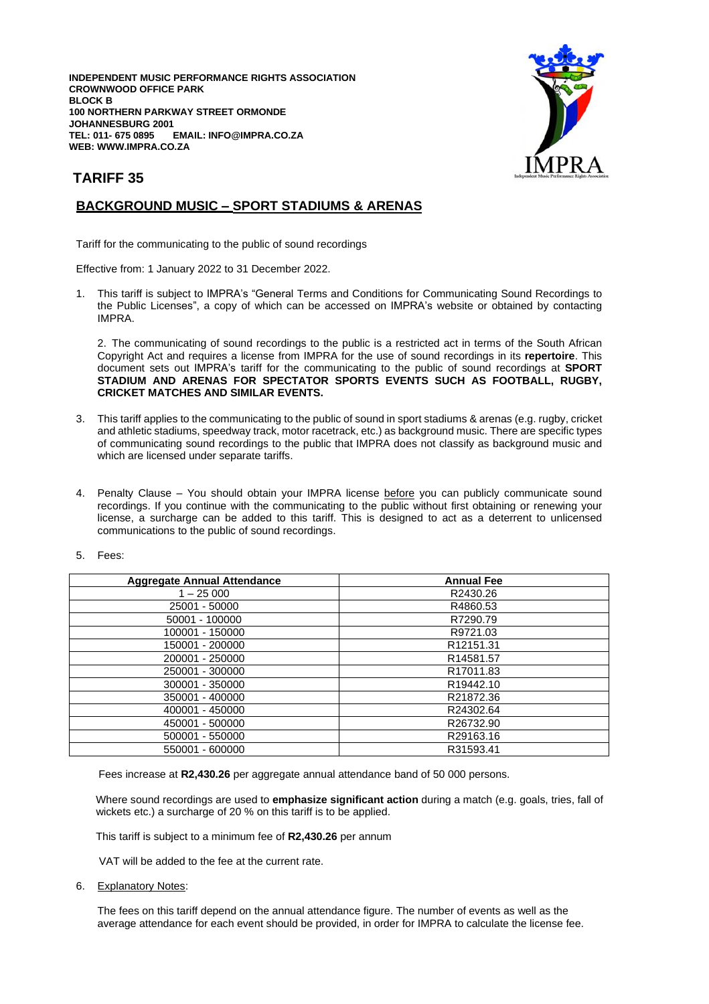**INDEPENDENT MUSIC PERFORMANCE RIGHTS ASSOCIATION CROWNWOOD OFFICE PARK BLOCK B 100 NORTHERN PARKWAY STREET ORMONDE JOHANNESBURG 2001**  $EMAIL: INFO@IMPRA.CO.ZA$ **WEB: WWW.IMPRA.CO.ZA**



## **TARIFF 35**

## **BACKGROUND MUSIC – SPORT STADIUMS & ARENAS**

Tariff for the communicating to the public of sound recordings

Effective from: 1 January 2022 to 31 December 2022.

1. This tariff is subject to IMPRA's "General Terms and Conditions for Communicating Sound Recordings to the Public Licenses", a copy of which can be accessed on IMPRA's website or obtained by contacting IMPRA.

2. The communicating of sound recordings to the public is a restricted act in terms of the South African Copyright Act and requires a license from IMPRA for the use of sound recordings in its **repertoire**. This document sets out IMPRA's tariff for the communicating to the public of sound recordings at **SPORT STADIUM AND ARENAS FOR SPECTATOR SPORTS EVENTS SUCH AS FOOTBALL, RUGBY, CRICKET MATCHES AND SIMILAR EVENTS.**

- 3. This tariff applies to the communicating to the public of sound in sport stadiums & arenas (e.g. rugby, cricket and athletic stadiums, speedway track, motor racetrack, etc.) as background music. There are specific types of communicating sound recordings to the public that IMPRA does not classify as background music and which are licensed under separate tariffs.
- 4. Penalty Clause You should obtain your IMPRA license before you can publicly communicate sound recordings. If you continue with the communicating to the public without first obtaining or renewing your license, a surcharge can be added to this tariff. This is designed to act as a deterrent to unlicensed communications to the public of sound recordings.
- 5. Fees:

| <b>Aggregate Annual Attendance</b> | <b>Annual Fee</b>     |
|------------------------------------|-----------------------|
| $1 - 25000$                        | R2430.26              |
| 25001 - 50000                      | R4860.53              |
| 50001 - 100000                     | R7290.79              |
| 100001 - 150000                    | R9721.03              |
| 150001 - 200000                    | R12151.31             |
| 200001 - 250000                    | R14581.57             |
| 250001 - 300000                    | R <sub>17011.83</sub> |
| 300001 - 350000                    | R19442.10             |
| 350001 - 400000                    | R21872.36             |
| 400001 - 450000                    | R24302.64             |
| 450001 - 500000                    | R26732.90             |
| 500001 - 550000                    | R29163.16             |
| 550001 - 600000                    | R31593.41             |

Fees increase at **R2,430.26** per aggregate annual attendance band of 50 000 persons.

 Where sound recordings are used to **emphasize significant action** during a match (e.g. goals, tries, fall of wickets etc.) a surcharge of 20 % on this tariff is to be applied.

This tariff is subject to a minimum fee of **R2,430.26** per annum

VAT will be added to the fee at the current rate.

6. Explanatory Notes:

The fees on this tariff depend on the annual attendance figure. The number of events as well as the average attendance for each event should be provided, in order for IMPRA to calculate the license fee.